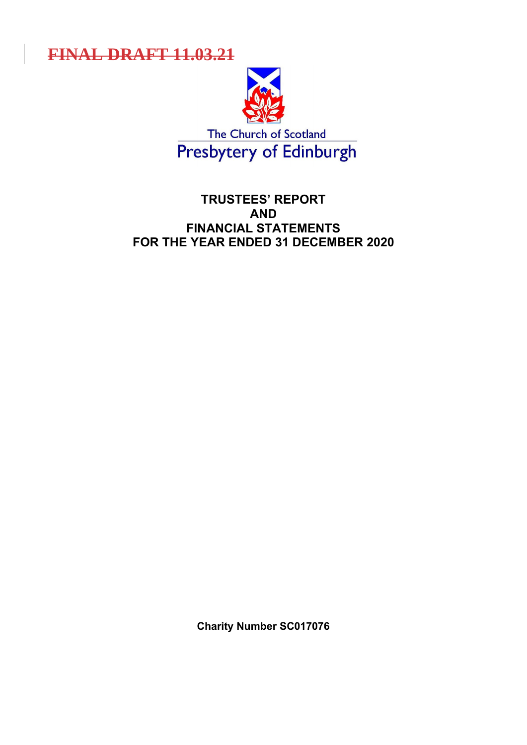**FINAL DRAFT 11.03.21**



The Church of Scotland<br>Presbytery of Edinburgh

# **TRUSTEES' REPORT AND FINANCIAL STATEMENTS FOR THE YEAR ENDED 31 DECEMBER 2020**

**Charity Number SC017076**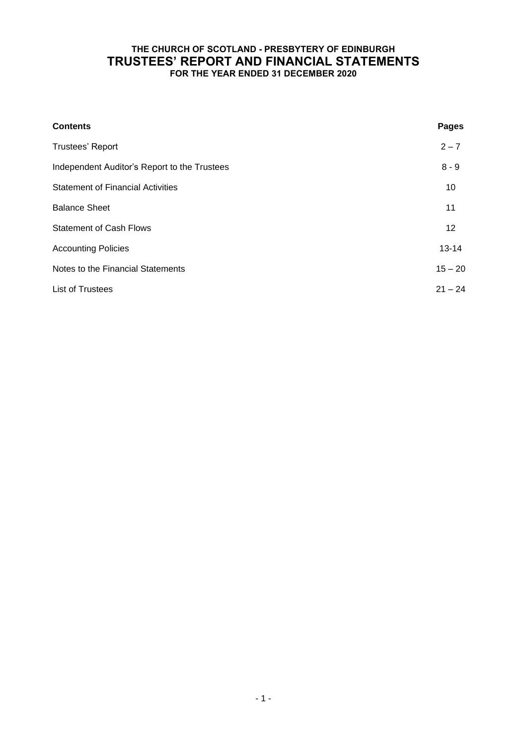## **THE CHURCH OF SCOTLAND - PRESBYTERY OF EDINBURGH TRUSTEES' REPORT AND FINANCIAL STATEMENTS FOR THE YEAR ENDED 31 DECEMBER 2020**

| <b>Contents</b>                              | <b>Pages</b> |
|----------------------------------------------|--------------|
| Trustees' Report                             | $2 - 7$      |
| Independent Auditor's Report to the Trustees | $8 - 9$      |
| <b>Statement of Financial Activities</b>     | 10           |
| <b>Balance Sheet</b>                         | 11           |
| <b>Statement of Cash Flows</b>               | 12           |
| <b>Accounting Policies</b>                   | $13 - 14$    |
| Notes to the Financial Statements            | $15 - 20$    |
| <b>List of Trustees</b>                      | $21 - 24$    |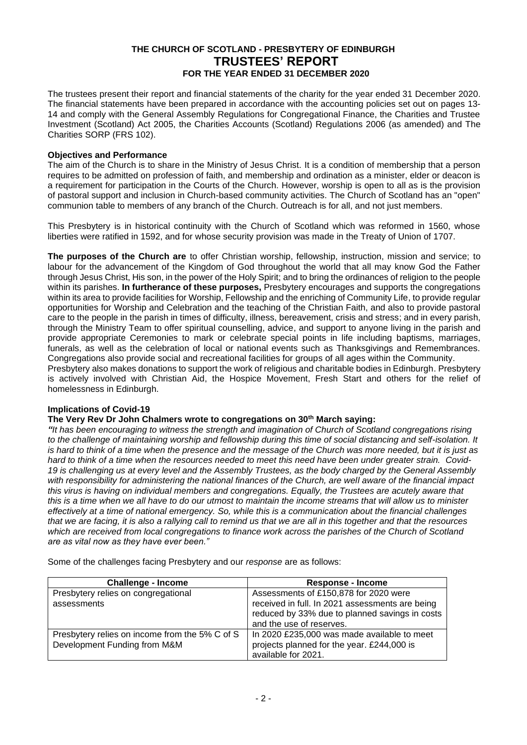The trustees present their report and financial statements of the charity for the year ended 31 December 2020. The financial statements have been prepared in accordance with the accounting policies set out on pages 13- 14 and comply with the General Assembly Regulations for Congregational Finance, the Charities and Trustee Investment (Scotland) Act 2005, the Charities Accounts (Scotland) Regulations 2006 (as amended) and The Charities SORP (FRS 102).

## **Objectives and Performance**

The aim of the Church is to share in the Ministry of Jesus Christ. It is a condition of membership that a person requires to be admitted on profession of faith, and membership and ordination as a minister, elder or deacon is a requirement for participation in the Courts of the Church. However, worship is open to all as is the provision of pastoral support and inclusion in Church-based community activities. The Church of Scotland has an "open" communion table to members of any branch of the Church. Outreach is for all, and not just members.

This Presbytery is in historical continuity with the Church of Scotland which was reformed in 1560, whose liberties were ratified in 1592, and for whose security provision was made in the Treaty of Union of 1707.

**The purposes of the Church are** to offer Christian worship, fellowship, instruction, mission and service; to labour for the advancement of the Kingdom of God throughout the world that all may know God the Father through Jesus Christ, His son, in the power of the Holy Spirit; and to bring the ordinances of religion to the people within its parishes. **In furtherance of these purposes,** Presbytery encourages and supports the congregations within its area to provide facilities for Worship, Fellowship and the enriching of Community Life, to provide regular opportunities for Worship and Celebration and the teaching of the Christian Faith, and also to provide pastoral care to the people in the parish in times of difficulty, illness, bereavement, crisis and stress; and in every parish, through the Ministry Team to offer spiritual counselling, advice, and support to anyone living in the parish and provide appropriate Ceremonies to mark or celebrate special points in life including baptisms, marriages, funerals, as well as the celebration of local or national events such as Thanksgivings and Remembrances. Congregations also provide social and recreational facilities for groups of all ages within the Community.

Presbytery also makes donations to support the work of religious and charitable bodies in Edinburgh. Presbytery is actively involved with Christian Aid, the Hospice Movement, Fresh Start and others for the relief of homelessness in Edinburgh.

## **Implications of Covid-19**

### **The Very Rev Dr John Chalmers wrote to congregations on 30th March saying:**

*"It has been encouraging to witness the strength and imagination of Church of Scotland congregations rising*  to the challenge of maintaining worship and fellowship during this time of social distancing and self-isolation. It *is hard to think of a time when the presence and the message of the Church was more needed, but it is just as hard to think of a time when the resources needed to meet this need have been under greater strain. Covid-19 is challenging us at every level and the Assembly Trustees, as the body charged by the General Assembly with responsibility for administering the national finances of the Church, are well aware of the financial impact this virus is having on individual members and congregations. Equally, the Trustees are acutely aware that this is a time when we all have to do our utmost to maintain the income streams that will allow us to minister effectively at a time of national emergency. So, while this is a communication about the financial challenges that we are facing, it is also a rallying call to remind us that we are all in this together and that the resources which are received from local congregations to finance work across the parishes of the Church of Scotland are as vital now as they have ever been."*

Some of the challenges facing Presbytery and our *response* are as follows:

| <b>Challenge - Income</b>                      | <b>Response - Income</b>                        |
|------------------------------------------------|-------------------------------------------------|
| Presbytery relies on congregational            | Assessments of £150,878 for 2020 were           |
| assessments                                    | received in full. In 2021 assessments are being |
|                                                | reduced by 33% due to planned savings in costs  |
|                                                | and the use of reserves.                        |
| Presbytery relies on income from the 5% C of S | In 2020 £235,000 was made available to meet     |
| Development Funding from M&M                   | projects planned for the year. £244,000 is      |
|                                                | available for 2021.                             |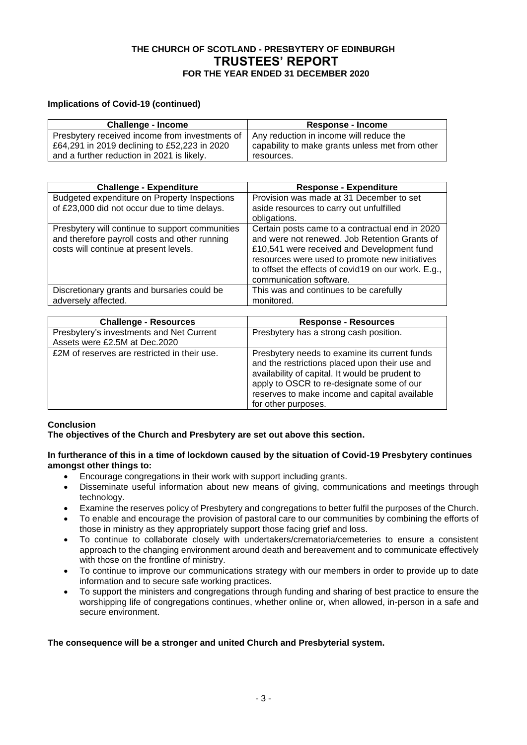## **Implications of Covid-19 (continued)**

| <b>Challenge - Income</b>                         | <b>Response - Income</b>                        |
|---------------------------------------------------|-------------------------------------------------|
| Presbytery received income from investments of  , | Any reduction in income will reduce the         |
| £64,291 in 2019 declining to £52,223 in 2020      | capability to make grants unless met from other |
| and a further reduction in 2021 is likely.        | resources.                                      |

| <b>Challenge - Expenditure</b>                                                                                                             | <b>Response - Expenditure</b>                                                                                                                                                                                                                                                      |
|--------------------------------------------------------------------------------------------------------------------------------------------|------------------------------------------------------------------------------------------------------------------------------------------------------------------------------------------------------------------------------------------------------------------------------------|
| Budgeted expenditure on Property Inspections<br>of £23,000 did not occur due to time delays.                                               | Provision was made at 31 December to set<br>aside resources to carry out unfulfilled<br>obligations.                                                                                                                                                                               |
| Presbytery will continue to support communities<br>and therefore payroll costs and other running<br>costs will continue at present levels. | Certain posts came to a contractual end in 2020<br>and were not renewed. Job Retention Grants of<br>£10,541 were received and Development fund<br>resources were used to promote new initiatives<br>to offset the effects of covid19 on our work. E.g.,<br>communication software. |
| Discretionary grants and bursaries could be<br>adversely affected.                                                                         | This was and continues to be carefully<br>monitored.                                                                                                                                                                                                                               |

| <b>Challenge - Resources</b>                                              | <b>Response - Resources</b>                                                                                                                                                                                                                                             |
|---------------------------------------------------------------------------|-------------------------------------------------------------------------------------------------------------------------------------------------------------------------------------------------------------------------------------------------------------------------|
| Presbytery's investments and Net Current<br>Assets were £2.5M at Dec.2020 | Presbytery has a strong cash position.                                                                                                                                                                                                                                  |
| £2M of reserves are restricted in their use.                              | Presbytery needs to examine its current funds<br>and the restrictions placed upon their use and<br>availability of capital. It would be prudent to<br>apply to OSCR to re-designate some of our<br>reserves to make income and capital available<br>for other purposes. |

## **Conclusion**

**The objectives of the Church and Presbytery are set out above this section.**

### **In furtherance of this in a time of lockdown caused by the situation of Covid-19 Presbytery continues amongst other things to:**

- Encourage congregations in their work with support including grants.
- Disseminate useful information about new means of giving, communications and meetings through technology.
- Examine the reserves policy of Presbytery and congregations to better fulfil the purposes of the Church.
- To enable and encourage the provision of pastoral care to our communities by combining the efforts of those in ministry as they appropriately support those facing grief and loss.
- To continue to collaborate closely with undertakers/crematoria/cemeteries to ensure a consistent approach to the changing environment around death and bereavement and to communicate effectively with those on the frontline of ministry.
- To continue to improve our communications strategy with our members in order to provide up to date information and to secure safe working practices.
- To support the ministers and congregations through funding and sharing of best practice to ensure the worshipping life of congregations continues, whether online or, when allowed, in-person in a safe and secure environment.

## **The consequence will be a stronger and united Church and Presbyterial system.**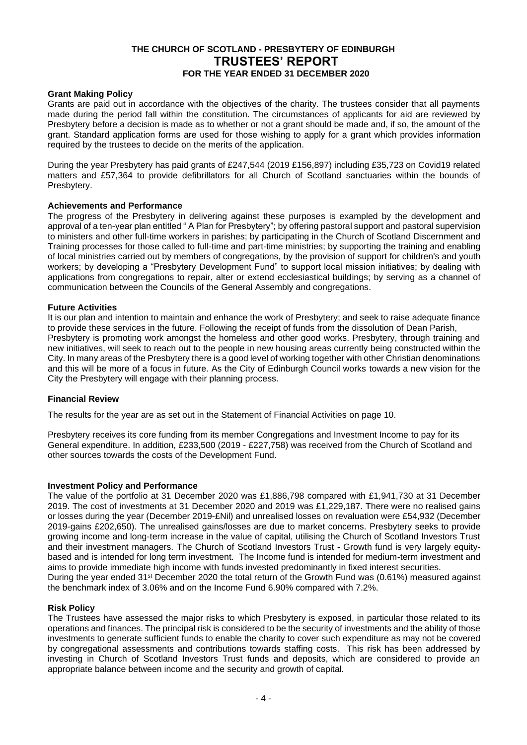### **Grant Making Policy**

Grants are paid out in accordance with the objectives of the charity. The trustees consider that all payments made during the period fall within the constitution. The circumstances of applicants for aid are reviewed by Presbytery before a decision is made as to whether or not a grant should be made and, if so, the amount of the grant. Standard application forms are used for those wishing to apply for a grant which provides information required by the trustees to decide on the merits of the application.

During the year Presbytery has paid grants of £247,544 (2019 £156,897) including £35,723 on Covid19 related matters and £57,364 to provide defibrillators for all Church of Scotland sanctuaries within the bounds of Presbytery.

### **Achievements and Performance**

The progress of the Presbytery in delivering against these purposes is exampled by the development and approval of a ten-year plan entitled " A Plan for Presbytery"; by offering pastoral support and pastoral supervision to ministers and other full-time workers in parishes; by participating in the Church of Scotland Discernment and Training processes for those called to full-time and part-time ministries; by supporting the training and enabling of local ministries carried out by members of congregations, by the provision of support for children's and youth workers; by developing a "Presbytery Development Fund" to support local mission initiatives; by dealing with applications from congregations to repair, alter or extend ecclesiastical buildings; by serving as a channel of communication between the Councils of the General Assembly and congregations.

### **Future Activities**

It is our plan and intention to maintain and enhance the work of Presbytery; and seek to raise adequate finance to provide these services in the future. Following the receipt of funds from the dissolution of Dean Parish, Presbytery is promoting work amongst the homeless and other good works. Presbytery, through training and new initiatives, will seek to reach out to the people in new housing areas currently being constructed within the City. In many areas of the Presbytery there is a good level of working together with other Christian denominations and this will be more of a focus in future. As the City of Edinburgh Council works towards a new vision for the City the Presbytery will engage with their planning process.

## **Financial Review**

The results for the year are as set out in the Statement of Financial Activities on page 10.

Presbytery receives its core funding from its member Congregations and Investment Income to pay for its General expenditure. In addition, £233,500 (2019 - £227,758) was received from the Church of Scotland and other sources towards the costs of the Development Fund.

### **Investment Policy and Performance**

The value of the portfolio at 31 December 2020 was £1,886,798 compared with £1,941,730 at 31 December 2019. The cost of investments at 31 December 2020 and 2019 was £1,229,187. There were no realised gains or losses during the year (December 2019-£Nil) and unrealised losses on revaluation were £54,932 (December 2019-gains £202,650). The unrealised gains/losses are due to market concerns. Presbytery seeks to provide growing income and long-term increase in the value of capital, utilising the Church of Scotland Investors Trust and their investment managers. The Church of Scotland Investors Trust **-** Growth fund is very largely equitybased and is intended for long term investment. The Income fund is intended for medium-term investment and aims to provide immediate high income with funds invested predominantly in fixed interest securities. During the year ended 31st December 2020 the total return of the Growth Fund was (0.61%) measured against the benchmark index of 3.06% and on the Income Fund 6.90% compared with 7.2%.

### **Risk Policy**

The Trustees have assessed the major risks to which Presbytery is exposed, in particular those related to its operations and finances. The principal risk is considered to be the security of investments and the ability of those investments to generate sufficient funds to enable the charity to cover such expenditure as may not be covered by congregational assessments and contributions towards staffing costs. This risk has been addressed by investing in Church of Scotland Investors Trust funds and deposits, which are considered to provide an appropriate balance between income and the security and growth of capital.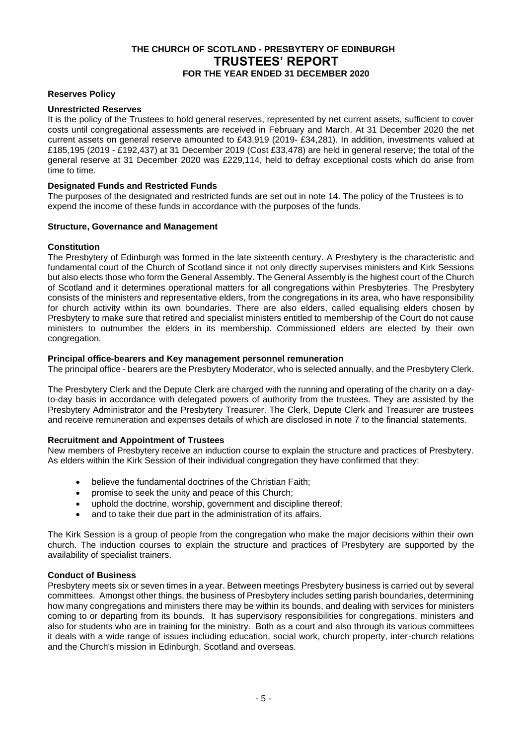### **Reserves Policy**

### **Unrestricted Reserves**

It is the policy of the Trustees to hold general reserves, represented by net current assets, sufficient to cover costs until congregational assessments are received in February and March. At 31 December 2020 the net current assets on general reserve amounted to £43,919 (2019- £34,281). In addition, investments valued at £185,195 (2019 - £192,437) at 31 December 2019 (Cost £33,478) are held in general reserve; the total of the general reserve at 31 December 2020 was £229,114, held to defray exceptional costs which do arise from time to time.

### **Designated Funds and Restricted Funds**

The purposes of the designated and restricted funds are set out in note 14. The policy of the Trustees is to expend the income of these funds in accordance with the purposes of the funds.

### **Structure, Governance and Management**

### **Constitution**

The Presbytery of Edinburgh was formed in the late sixteenth century. A Presbytery is the characteristic and fundamental court of the Church of Scotland since it not only directly supervises ministers and Kirk Sessions but also elects those who form the General Assembly. The General Assembly is the highest court of the Church of Scotland and it determines operational matters for all congregations within Presbyteries. The Presbytery consists of the ministers and representative elders, from the congregations in its area, who have responsibility for church activity within its own boundaries. There are also elders, called equalising elders chosen by Presbytery to make sure that retired and specialist ministers entitled to membership of the Court do not cause ministers to outnumber the elders in its membership. Commissioned elders are elected by their own congregation.

### **Principal office-bearers and Key management personnel remuneration**

The principal office - bearers are the Presbytery Moderator, who is selected annually, and the Presbytery Clerk.

The Presbytery Clerk and the Depute Clerk are charged with the running and operating of the charity on a dayto-day basis in accordance with delegated powers of authority from the trustees. They are assisted by the Presbytery Administrator and the Presbytery Treasurer. The Clerk, Depute Clerk and Treasurer are trustees and receive remuneration and expenses details of which are disclosed in note 7 to the financial statements.

## **Recruitment and Appointment of Trustees**

New members of Presbytery receive an induction course to explain the structure and practices of Presbytery. As elders within the Kirk Session of their individual congregation they have confirmed that they:

- believe the fundamental doctrines of the Christian Faith;
- promise to seek the unity and peace of this Church;
- uphold the doctrine, worship, government and discipline thereof;
- and to take their due part in the administration of its affairs.

The Kirk Session is a group of people from the congregation who make the major decisions within their own church. The induction courses to explain the structure and practices of Presbytery are supported by the availability of specialist trainers.

## **Conduct of Business**

Presbytery meets six or seven times in a year. Between meetings Presbytery business is carried out by several committees. Amongst other things, the business of Presbytery includes setting parish boundaries, determining how many congregations and ministers there may be within its bounds, and dealing with services for ministers coming to or departing from its bounds. It has supervisory responsibilities for congregations, ministers and also for students who are in training for the ministry. Both as a court and also through its various committees it deals with a wide range of issues including education, social work, church property, inter-church relations and the Church's mission in Edinburgh, Scotland and overseas.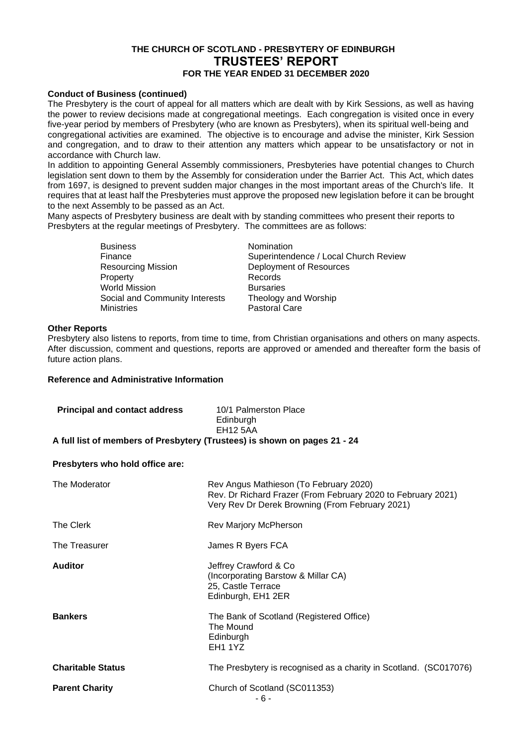### **Conduct of Business (continued)**

The Presbytery is the court of appeal for all matters which are dealt with by Kirk Sessions, as well as having the power to review decisions made at congregational meetings. Each congregation is visited once in every five-year period by members of Presbytery (who are known as Presbyters), when its spiritual well-being and congregational activities are examined. The objective is to encourage and advise the minister, Kirk Session and congregation, and to draw to their attention any matters which appear to be unsatisfactory or not in accordance with Church law.

In addition to appointing General Assembly commissioners, Presbyteries have potential changes to Church legislation sent down to them by the Assembly for consideration under the Barrier Act. This Act, which dates from 1697, is designed to prevent sudden major changes in the most important areas of the Church's life. It requires that at least half the Presbyteries must approve the proposed new legislation before it can be brought to the next Assembly to be passed as an Act.

Many aspects of Presbytery business are dealt with by standing committees who present their reports to Presbyters at the regular meetings of Presbytery. The committees are as follows:

> Business<br>
> Finance<br>
> Finance<br>
> The Superintend Property Records<br>
> World Mission More Rursaries World Mission Social and Community Interests Theology and Worship<br>Ministries Pastoral Care

Finance<br>
Resourcing Mission<br>
Resourcing Mission<br>
Deployment of Resources Deployment of Resources<br>Records Pastoral Care

### **Other Reports**

Presbytery also listens to reports, from time to time, from Christian organisations and others on many aspects. After discussion, comment and questions, reports are approved or amended and thereafter form the basis of future action plans.

### **Reference and Administrative Information**

| <b>Principal and contact address</b>                                      | 10/1 Palmerston Place<br>Edinburgh |  |  |  |
|---------------------------------------------------------------------------|------------------------------------|--|--|--|
|                                                                           | <b>EH12 5AA</b>                    |  |  |  |
| A full list of members of Presbytery (Trustees) is shown on pages 21 - 24 |                                    |  |  |  |

## **Presbyters who hold office are:**

| The Moderator            | Rev Angus Mathieson (To February 2020)<br>Rev. Dr Richard Frazer (From February 2020 to February 2021)<br>Very Rev Dr Derek Browning (From February 2021) |
|--------------------------|-----------------------------------------------------------------------------------------------------------------------------------------------------------|
| The Clerk                | Rev Marjory McPherson                                                                                                                                     |
| The Treasurer            | James R Byers FCA                                                                                                                                         |
| <b>Auditor</b>           | Jeffrey Crawford & Co<br>(Incorporating Barstow & Millar CA)<br>25, Castle Terrace<br>Edinburgh, EH1 2ER                                                  |
| <b>Bankers</b>           | The Bank of Scotland (Registered Office)<br>The Mound<br>Edinburgh<br><b>EH1 1YZ</b>                                                                      |
| <b>Charitable Status</b> | The Presbytery is recognised as a charity in Scotland. (SC017076)                                                                                         |
| <b>Parent Charity</b>    | Church of Scotland (SC011353)<br>- 6 -                                                                                                                    |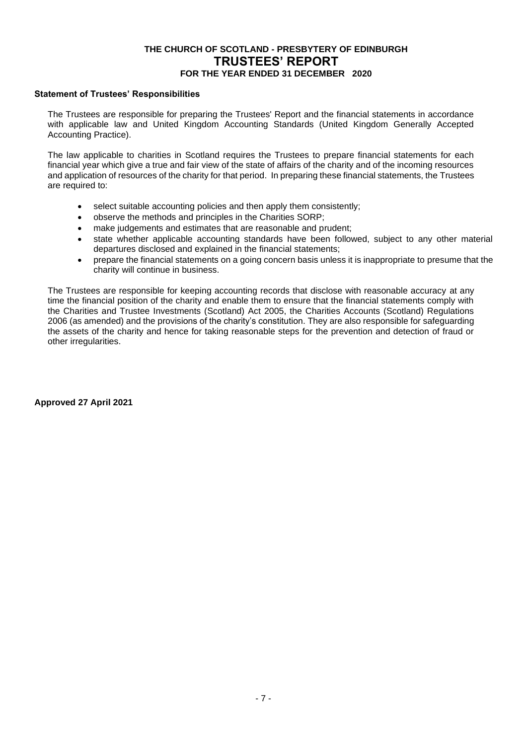## **Statement of Trustees' Responsibilities**

The Trustees are responsible for preparing the Trustees' Report and the financial statements in accordance with applicable law and United Kingdom Accounting Standards (United Kingdom Generally Accepted Accounting Practice).

The law applicable to charities in Scotland requires the Trustees to prepare financial statements for each financial year which give a true and fair view of the state of affairs of the charity and of the incoming resources and application of resources of the charity for that period. In preparing these financial statements, the Trustees are required to:

- select suitable accounting policies and then apply them consistently;
- observe the methods and principles in the Charities SORP;
- make judgements and estimates that are reasonable and prudent;
- state whether applicable accounting standards have been followed, subject to any other material departures disclosed and explained in the financial statements;
- prepare the financial statements on a going concern basis unless it is inappropriate to presume that the charity will continue in business.

The Trustees are responsible for keeping accounting records that disclose with reasonable accuracy at any time the financial position of the charity and enable them to ensure that the financial statements comply with the Charities and Trustee Investments (Scotland) Act 2005, the Charities Accounts (Scotland) Regulations 2006 (as amended) and the provisions of the charity's constitution. They are also responsible for safeguarding the assets of the charity and hence for taking reasonable steps for the prevention and detection of fraud or other irregularities.

**Approved 27 April 2021**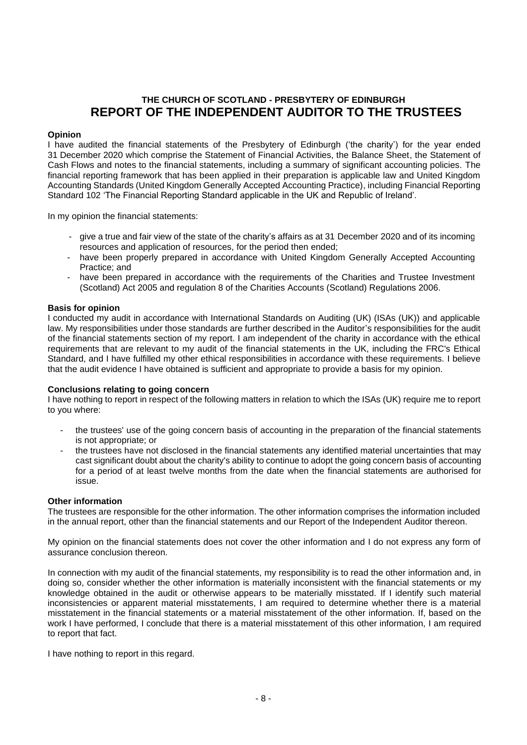## **THE CHURCH OF SCOTLAND - PRESBYTERY OF EDINBURGH REPORT OF THE INDEPENDENT AUDITOR TO THE TRUSTEES**

## **Opinion**

I have audited the financial statements of the Presbytery of Edinburgh ('the charity') for the year ended 31 December 2020 which comprise the Statement of Financial Activities, the Balance Sheet, the Statement of Cash Flows and notes to the financial statements, including a summary of significant accounting policies. The financial reporting framework that has been applied in their preparation is applicable law and United Kingdom Accounting Standards (United Kingdom Generally Accepted Accounting Practice), including Financial Reporting Standard 102 'The Financial Reporting Standard applicable in the UK and Republic of Ireland'.

In my opinion the financial statements:

- give a true and fair view of the state of the charity's affairs as at 31 December 2020 and of its incoming resources and application of resources, for the period then ended;
- have been properly prepared in accordance with United Kingdom Generally Accepted Accounting Practice; and
- have been prepared in accordance with the requirements of the Charities and Trustee Investment (Scotland) Act 2005 and regulation 8 of the Charities Accounts (Scotland) Regulations 2006.

### **Basis for opinion**

I conducted my audit in accordance with International Standards on Auditing (UK) (ISAs (UK)) and applicable law. My responsibilities under those standards are further described in the Auditor's responsibilities for the audit of the financial statements section of my report. I am independent of the charity in accordance with the ethical requirements that are relevant to my audit of the financial statements in the UK, including the FRC's Ethical Standard, and I have fulfilled my other ethical responsibilities in accordance with these requirements. I believe that the audit evidence I have obtained is sufficient and appropriate to provide a basis for my opinion.

### **Conclusions relating to going concern**

I have nothing to report in respect of the following matters in relation to which the ISAs (UK) require me to report to you where:

- the trustees' use of the going concern basis of accounting in the preparation of the financial statements is not appropriate; or
- the trustees have not disclosed in the financial statements any identified material uncertainties that may cast significant doubt about the charity's ability to continue to adopt the going concern basis of accounting for a period of at least twelve months from the date when the financial statements are authorised for issue.

### **Other information**

The trustees are responsible for the other information. The other information comprises the information included in the annual report, other than the financial statements and our Report of the Independent Auditor thereon.

My opinion on the financial statements does not cover the other information and I do not express any form of assurance conclusion thereon.

In connection with my audit of the financial statements, my responsibility is to read the other information and, in doing so, consider whether the other information is materially inconsistent with the financial statements or my knowledge obtained in the audit or otherwise appears to be materially misstated. If I identify such material inconsistencies or apparent material misstatements, I am required to determine whether there is a material misstatement in the financial statements or a material misstatement of the other information. If, based on the work I have performed, I conclude that there is a material misstatement of this other information, I am required to report that fact.

I have nothing to report in this regard.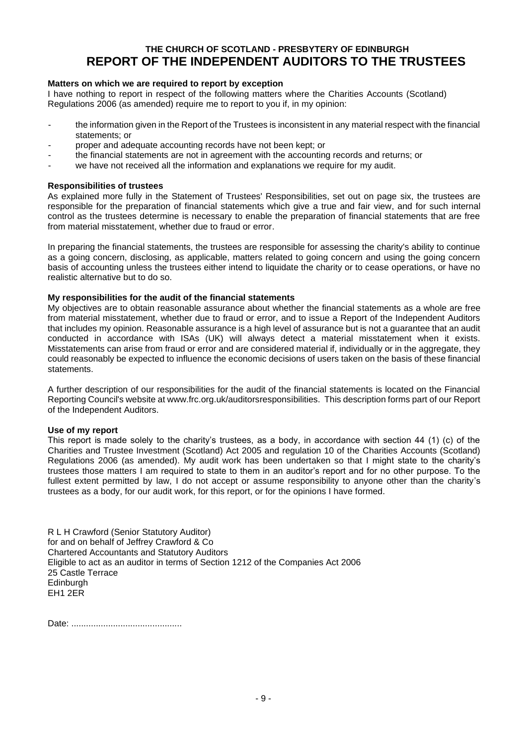## **THE CHURCH OF SCOTLAND - PRESBYTERY OF EDINBURGH REPORT OF THE INDEPENDENT AUDITORS TO THE TRUSTEES**

### **Matters on which we are required to report by exception**

I have nothing to report in respect of the following matters where the Charities Accounts (Scotland) Regulations 2006 (as amended) require me to report to you if, in my opinion:

- the information given in the Report of the Trustees is inconsistent in any material respect with the financial statements; or
- proper and adequate accounting records have not been kept; or
- the financial statements are not in agreement with the accounting records and returns; or
- we have not received all the information and explanations we require for my audit.

### **Responsibilities of trustees**

As explained more fully in the Statement of Trustees' Responsibilities, set out on page six, the trustees are responsible for the preparation of financial statements which give a true and fair view, and for such internal control as the trustees determine is necessary to enable the preparation of financial statements that are free from material misstatement, whether due to fraud or error.

In preparing the financial statements, the trustees are responsible for assessing the charity's ability to continue as a going concern, disclosing, as applicable, matters related to going concern and using the going concern basis of accounting unless the trustees either intend to liquidate the charity or to cease operations, or have no realistic alternative but to do so.

### **My responsibilities for the audit of the financial statements**

My objectives are to obtain reasonable assurance about whether the financial statements as a whole are free from material misstatement, whether due to fraud or error, and to issue a Report of the Independent Auditors that includes my opinion. Reasonable assurance is a high level of assurance but is not a guarantee that an audit conducted in accordance with ISAs (UK) will always detect a material misstatement when it exists. Misstatements can arise from fraud or error and are considered material if, individually or in the aggregate, they could reasonably be expected to influence the economic decisions of users taken on the basis of these financial statements.

A further description of our responsibilities for the audit of the financial statements is located on the Financial Reporting Council's website at www.frc.org.uk/auditorsresponsibilities. This description forms part of our Report of the Independent Auditors.

### **Use of my report**

This report is made solely to the charity's trustees, as a body, in accordance with section 44 (1) (c) of the Charities and Trustee Investment (Scotland) Act 2005 and regulation 10 of the Charities Accounts (Scotland) Regulations 2006 (as amended). My audit work has been undertaken so that I might state to the charity's trustees those matters I am required to state to them in an auditor's report and for no other purpose. To the fullest extent permitted by law, I do not accept or assume responsibility to anyone other than the charity's trustees as a body, for our audit work, for this report, or for the opinions I have formed.

R L H Crawford (Senior Statutory Auditor) for and on behalf of Jeffrey Crawford & Co Chartered Accountants and Statutory Auditors Eligible to act as an auditor in terms of Section 1212 of the Companies Act 2006 25 Castle Terrace Edinburgh EH1 2ER

Date: .............................................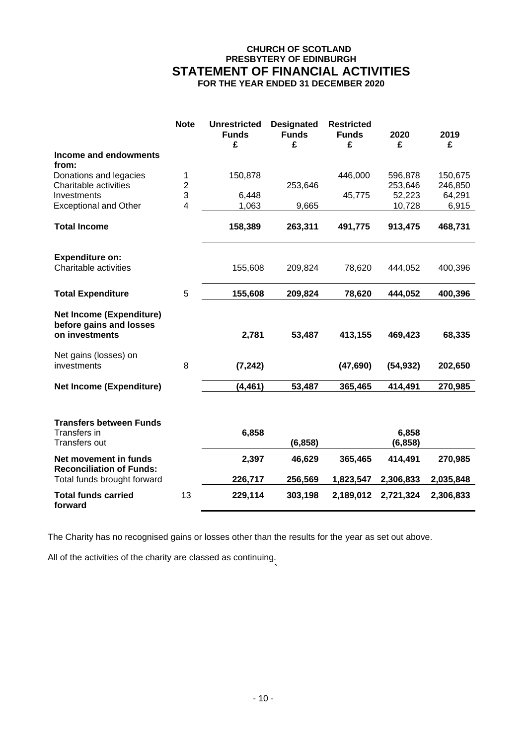## **CHURCH OF SCOTLAND PRESBYTERY OF EDINBURGH STATEMENT OF FINANCIAL ACTIVITIES FOR THE YEAR ENDED 31 DECEMBER 2020**

|                                                                              | <b>Note</b>         | <b>Unrestricted</b><br><b>Funds</b><br>£ | <b>Designated</b><br><b>Funds</b><br>£ | <b>Restricted</b><br><b>Funds</b><br>£ | 2020<br>£         | 2019<br>£         |
|------------------------------------------------------------------------------|---------------------|------------------------------------------|----------------------------------------|----------------------------------------|-------------------|-------------------|
| Income and endowments<br>from:                                               |                     |                                          |                                        |                                        |                   |                   |
| Donations and legacies                                                       | 1                   | 150,878                                  |                                        | 446,000                                | 596,878           | 150,675           |
| Charitable activities<br>Investments                                         | $\overline{c}$<br>3 | 6,448                                    | 253,646                                | 45,775                                 | 253,646<br>52,223 | 246,850<br>64,291 |
| <b>Exceptional and Other</b>                                                 | 4                   | 1,063                                    | 9,665                                  |                                        | 10,728            | 6,915             |
| <b>Total Income</b>                                                          |                     | 158,389                                  | 263,311                                | 491,775                                | 913,475           | 468,731           |
| <b>Expenditure on:</b><br>Charitable activities                              |                     | 155,608                                  | 209,824                                | 78,620                                 | 444,052           | 400,396           |
| <b>Total Expenditure</b>                                                     | 5                   | 155,608                                  | 209,824                                | 78,620                                 | 444,052           | 400,396           |
| <b>Net Income (Expenditure)</b><br>before gains and losses<br>on investments |                     | 2,781                                    | 53,487                                 | 413,155                                | 469,423           | 68,335            |
| Net gains (losses) on<br>investments                                         | 8                   | (7, 242)                                 |                                        | (47, 690)                              | (54, 932)         | 202,650           |
| <b>Net Income (Expenditure)</b>                                              |                     | (4, 461)                                 | 53,487                                 | 365,465                                | 414,491           | 270,985           |
| <b>Transfers between Funds</b><br>Transfers in                               |                     | 6,858                                    |                                        |                                        | 6,858             |                   |
| <b>Transfers out</b>                                                         |                     |                                          | (6, 858)                               |                                        | (6, 858)          |                   |
| Net movement in funds<br><b>Reconciliation of Funds:</b>                     |                     | 2,397                                    | 46,629                                 | 365,465                                | 414,491           | 270,985           |
| Total funds brought forward                                                  |                     | 226,717                                  | 256,569                                | 1,823,547                              | 2,306,833         | 2,035,848         |
| <b>Total funds carried</b><br>forward                                        | 13                  | 229,114                                  | 303,198                                | 2,189,012                              | 2,721,324         | 2,306,833         |

The Charity has no recognised gains or losses other than the results for the year as set out above.

All of the activities of the charity are classed as continuing.

**`**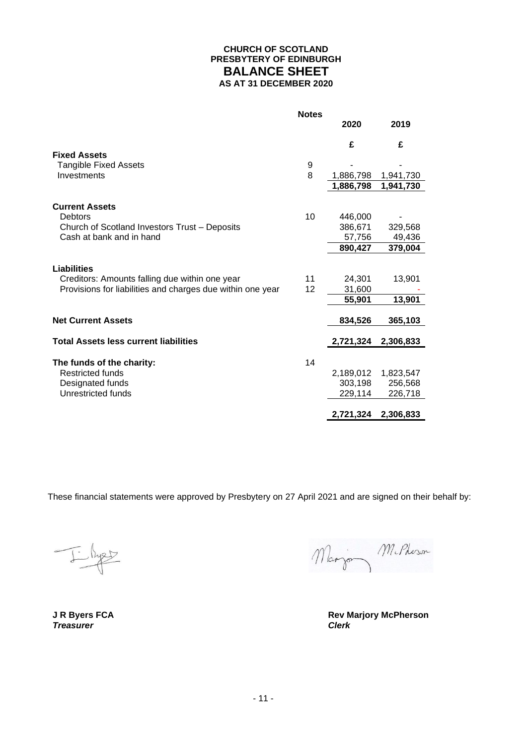## **CHURCH OF SCOTLAND PRESBYTERY OF EDINBURGH BALANCE SHEET AS AT 31 DECEMBER 2020**

|                                                                           | <b>Notes</b> |           |           |
|---------------------------------------------------------------------------|--------------|-----------|-----------|
|                                                                           |              | 2020      | 2019      |
|                                                                           |              | £         | £         |
| <b>Fixed Assets</b>                                                       |              |           |           |
| <b>Tangible Fixed Assets</b>                                              | 9            |           |           |
| Investments                                                               | 8            | 1,886,798 | 1,941,730 |
|                                                                           |              | 1,886,798 | 1,941,730 |
|                                                                           |              |           |           |
| <b>Current Assets</b>                                                     |              |           |           |
| <b>Debtors</b>                                                            | 10           | 446,000   |           |
| Church of Scotland Investors Trust - Deposits<br>Cash at bank and in hand |              | 386,671   | 329,568   |
|                                                                           |              | 57,756    | 49,436    |
|                                                                           |              | 890,427   | 379,004   |
|                                                                           |              |           |           |
| <b>Liabilities</b>                                                        |              |           |           |
| Creditors: Amounts falling due within one year                            | 11           | 24.301    | 13,901    |
| Provisions for liabilities and charges due within one year                | 12           | 31,600    |           |
|                                                                           |              | 55,901    | 13,901    |
| <b>Net Current Assets</b>                                                 |              | 834,526   | 365,103   |
|                                                                           |              |           |           |
| <b>Total Assets less current liabilities</b>                              |              | 2,721,324 | 2,306,833 |
|                                                                           |              |           |           |
| The funds of the charity:                                                 | 14           |           |           |
| <b>Restricted funds</b>                                                   |              | 2,189,012 | 1,823,547 |
| Designated funds                                                          |              | 303,198   | 256,568   |
| Unrestricted funds                                                        |              | 229,114   | 226,718   |
|                                                                           |              |           |           |
|                                                                           |              | 2,721,324 | 2,306,833 |

These financial statements were approved by Presbytery on 27 April 2021 and are signed on their behalf by:

J. Byer

**Treasurer** 

Marjon M. Pheron

**J R Byers FCA Rev Marjory McPherson**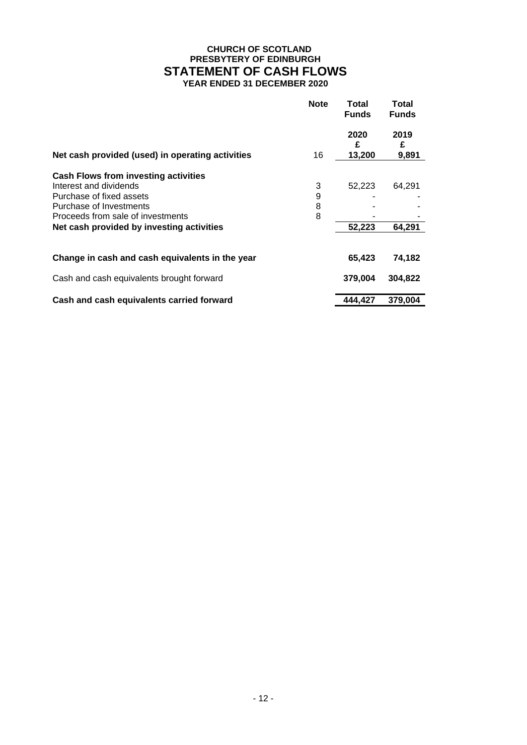## **CHURCH OF SCOTLAND PRESBYTERY OF EDINBURGH STATEMENT OF CASH FLOWS YEAR ENDED 31 DECEMBER 2020**

|                                                  | <b>Note</b> | Total<br><b>Funds</b> | Total<br><b>Funds</b> |
|--------------------------------------------------|-------------|-----------------------|-----------------------|
|                                                  |             | 2020<br>£             | 2019<br>£             |
| Net cash provided (used) in operating activities | 16          | 13,200                | 9,891                 |
| <b>Cash Flows from investing activities</b>      |             |                       |                       |
| Interest and dividends                           | 3           | 52,223                | 64,291                |
| Purchase of fixed assets                         | 9           |                       |                       |
| Purchase of Investments                          | 8           |                       |                       |
| Proceeds from sale of investments                | 8           |                       |                       |
| Net cash provided by investing activities        |             | 52,223                | 64.291                |
| Change in cash and cash equivalents in the year  |             | 65,423                | 74,182                |
| Cash and cash equivalents brought forward        |             | 379,004               | 304,822               |
| Cash and cash equivalents carried forward        |             | 444,427               | 379,004               |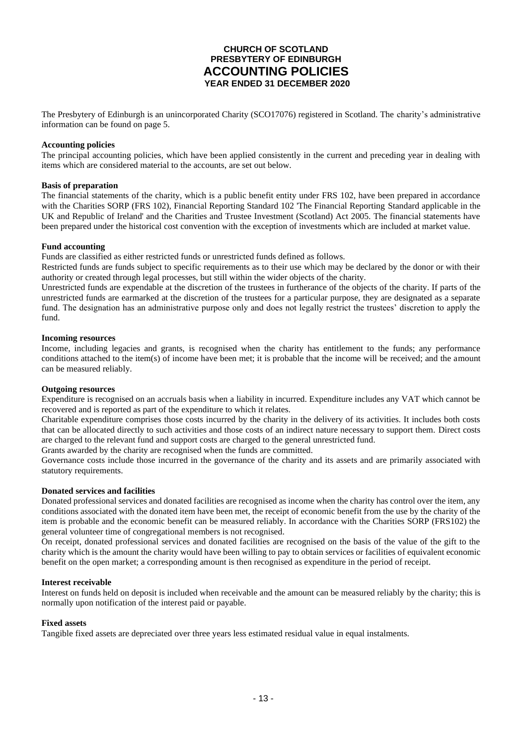## **CHURCH OF SCOTLAND PRESBYTERY OF EDINBURGH ACCOUNTING POLICIES YEAR ENDED 31 DECEMBER 2020**

The Presbytery of Edinburgh is an unincorporated Charity (SCO17076) registered in Scotland. The charity's administrative information can be found on page 5.

#### **Accounting policies**

The principal accounting policies, which have been applied consistently in the current and preceding year in dealing with items which are considered material to the accounts, are set out below.

#### **Basis of preparation**

The financial statements of the charity, which is a public benefit entity under FRS 102, have been prepared in accordance with the Charities SORP (FRS 102), Financial Reporting Standard 102 The Financial Reporting Standard applicable in the UK and Republic of Ireland' and the Charities and Trustee Investment (Scotland) Act 2005. The financial statements have been prepared under the historical cost convention with the exception of investments which are included at market value.

#### **Fund accounting**

Funds are classified as either restricted funds or unrestricted funds defined as follows.

Restricted funds are funds subject to specific requirements as to their use which may be declared by the donor or with their authority or created through legal processes, but still within the wider objects of the charity.

Unrestricted funds are expendable at the discretion of the trustees in furtherance of the objects of the charity. If parts of the unrestricted funds are earmarked at the discretion of the trustees for a particular purpose, they are designated as a separate fund. The designation has an administrative purpose only and does not legally restrict the trustees' discretion to apply the fund.

#### **Incoming resources**

Income, including legacies and grants, is recognised when the charity has entitlement to the funds; any performance conditions attached to the item(s) of income have been met; it is probable that the income will be received; and the amount can be measured reliably.

#### **Outgoing resources**

Expenditure is recognised on an accruals basis when a liability in incurred. Expenditure includes any VAT which cannot be recovered and is reported as part of the expenditure to which it relates.

Charitable expenditure comprises those costs incurred by the charity in the delivery of its activities. It includes both costs that can be allocated directly to such activities and those costs of an indirect nature necessary to support them. Direct costs are charged to the relevant fund and support costs are charged to the general unrestricted fund.

Grants awarded by the charity are recognised when the funds are committed.

Governance costs include those incurred in the governance of the charity and its assets and are primarily associated with statutory requirements.

### **Donated services and facilities**

Donated professional services and donated facilities are recognised as income when the charity has control over the item, any conditions associated with the donated item have been met, the receipt of economic benefit from the use by the charity of the item is probable and the economic benefit can be measured reliably. In accordance with the Charities SORP (FRS102) the general volunteer time of congregational members is not recognised.

On receipt, donated professional services and donated facilities are recognised on the basis of the value of the gift to the charity which is the amount the charity would have been willing to pay to obtain services or facilities of equivalent economic benefit on the open market; a corresponding amount is then recognised as expenditure in the period of receipt.

#### **Interest receivable**

Interest on funds held on deposit is included when receivable and the amount can be measured reliably by the charity; this is normally upon notification of the interest paid or payable.

#### **Fixed assets**

Tangible fixed assets are depreciated over three years less estimated residual value in equal instalments.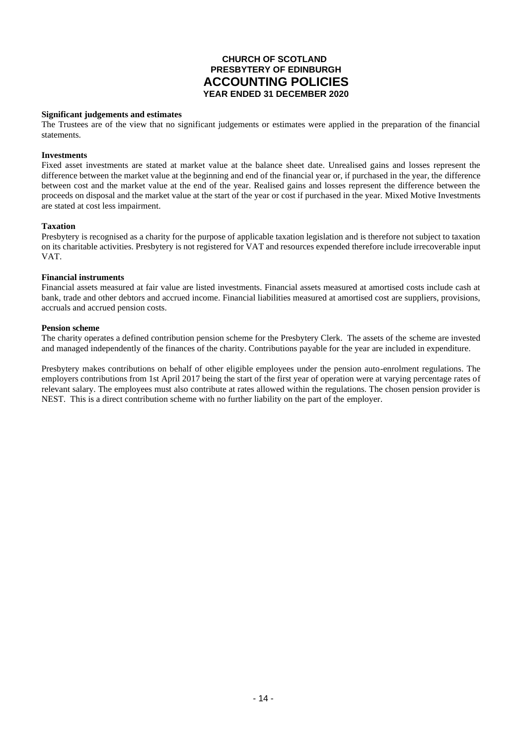## **CHURCH OF SCOTLAND PRESBYTERY OF EDINBURGH ACCOUNTING POLICIES YEAR ENDED 31 DECEMBER 2020**

### **Significant judgements and estimates**

The Trustees are of the view that no significant judgements or estimates were applied in the preparation of the financial statements.

#### **Investments**

Fixed asset investments are stated at market value at the balance sheet date. Unrealised gains and losses represent the difference between the market value at the beginning and end of the financial year or, if purchased in the year, the difference between cost and the market value at the end of the year. Realised gains and losses represent the difference between the proceeds on disposal and the market value at the start of the year or cost if purchased in the year. Mixed Motive Investments are stated at cost less impairment.

#### **Taxation**

Presbytery is recognised as a charity for the purpose of applicable taxation legislation and is therefore not subject to taxation on its charitable activities. Presbytery is not registered for VAT and resources expended therefore include irrecoverable input VAT.

#### **Financial instruments**

Financial assets measured at fair value are listed investments. Financial assets measured at amortised costs include cash at bank, trade and other debtors and accrued income. Financial liabilities measured at amortised cost are suppliers, provisions, accruals and accrued pension costs.

#### **Pension scheme**

The charity operates a defined contribution pension scheme for the Presbytery Clerk. The assets of the scheme are invested and managed independently of the finances of the charity. Contributions payable for the year are included in expenditure.

Presbytery makes contributions on behalf of other eligible employees under the pension auto-enrolment regulations. The employers contributions from 1st April 2017 being the start of the first year of operation were at varying percentage rates of relevant salary. The employees must also contribute at rates allowed within the regulations. The chosen pension provider is NEST. This is a direct contribution scheme with no further liability on the part of the employer.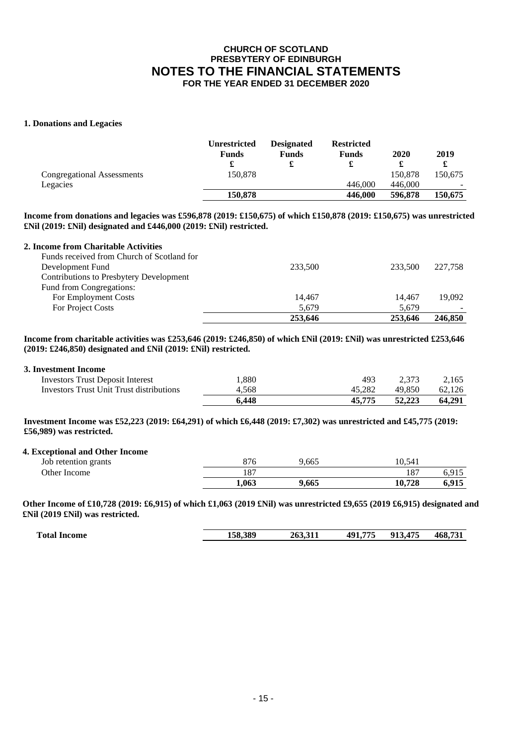### **1. Donations and Legacies**

|                            | <b>Unrestricted</b><br><b>Funds</b><br>æ | <b>Designated</b><br><b>Funds</b> | <b>Restricted</b><br><b>Funds</b> | 2020    | 2019    |
|----------------------------|------------------------------------------|-----------------------------------|-----------------------------------|---------|---------|
| Congregational Assessments | 150.878                                  |                                   |                                   | 150,878 | 150.675 |
| Legacies                   |                                          |                                   | 446,000                           | 446,000 |         |
|                            | 150.878                                  |                                   | 446,000                           | 596,878 | 150,675 |

**Income from donations and legacies was £596,878 (2019: £150,675) of which £150,878 (2019: £150,675) was unrestricted £Nil (2019: £Nil) designated and £446,000 (2019: £Nil) restricted.**

### **2. Income from Charitable Activities**

| Funds received from Church of Scotland for     |         |         |         |
|------------------------------------------------|---------|---------|---------|
| Development Fund                               | 233,500 | 233,500 | 227,758 |
| <b>Contributions to Presbytery Development</b> |         |         |         |
| Fund from Congregations:                       |         |         |         |
| For Employment Costs                           | 14.467  | 14.467  | 19.092  |
| For Project Costs                              | 5.679   | 5.679   |         |
|                                                | 253.646 | 253.646 | 246,850 |

**Income from charitable activities was £253,646 (2019: £246,850) of which £Nil (2019: £Nil) was unrestricted £253,646 (2019: £246,850) designated and £Nil (2019: £Nil) restricted.**

#### **3. Investment Income**

|                                          | 6.448 | 45.775 | 52,223 | 64.291 |
|------------------------------------------|-------|--------|--------|--------|
| Investors Trust Unit Trust distributions | 4.568 | 45.282 | 49.850 | 62.126 |
| <b>Investors Trust Deposit Interest</b>  | .880  | 493    | 2.373  | 2.165  |

**Investment Income was £52,223 (2019: £64,291) of which £6,448 (2019: £7,302) was unrestricted and £45,775 (2019: £56,989) was restricted.**

#### **4. Exceptional and Other Income**

| Job retention grants | $\Omega$<br>6/0 | 9.665 | 0.541          |       |
|----------------------|-----------------|-------|----------------|-------|
| <b>Other Income</b>  | $\sim$<br>Ιð    |       | $\circ$<br>10. | 6.915 |
|                      | 1.063           | 9.665 | 1 በ 7 ገ የ      | 6.915 |

**Other Income of £10,728 (2019: £6,915) of which £1,063 (2019 £Nil) was unrestricted £9,655 (2019 £6,915) designated and £Nil (2019 £Nil) was restricted.**

| Total<br>Income | 158.389 | .<br>---<br>263.311 | ワワミ<br>40 <sup>7</sup><br>∕ ⊥ ∍ ∶ | ATF<br>012<br>. | 468<br>$-2$ |
|-----------------|---------|---------------------|-----------------------------------|-----------------|-------------|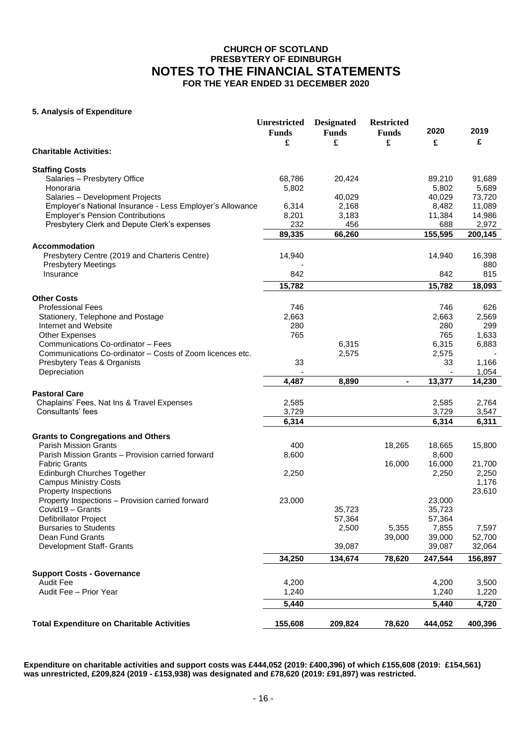### **5. Analysis of Expenditure**

|                                                           | <b>Unrestricted</b> | <b>Designated</b> | <b>Restricted</b> |         | 2019    |
|-----------------------------------------------------------|---------------------|-------------------|-------------------|---------|---------|
|                                                           | <b>Funds</b>        | <b>Funds</b>      | <b>Funds</b>      | 2020    |         |
|                                                           | £                   | £                 | £                 | £       | £       |
| <b>Charitable Activities:</b>                             |                     |                   |                   |         |         |
| <b>Staffing Costs</b>                                     |                     |                   |                   |         |         |
| Salaries - Presbytery Office                              | 68,786              | 20,424            |                   | 89,210  | 91,689  |
| Honoraria                                                 | 5,802               |                   |                   | 5,802   | 5,689   |
| Salaries - Development Projects                           |                     | 40,029            |                   | 40,029  | 73,720  |
| Employer's National Insurance - Less Employer's Allowance | 6,314               | 2,168             |                   | 8,482   | 11,089  |
| <b>Employer's Pension Contributions</b>                   | 8,201               | 3,183             |                   | 11,384  | 14,986  |
| Presbytery Clerk and Depute Clerk's expenses              | 232                 | 456               |                   | 688     | 2,972   |
|                                                           | 89,335              | 66,260            |                   | 155,595 | 200,145 |
| <b>Accommodation</b>                                      |                     |                   |                   |         |         |
| Presbytery Centre (2019 and Charteris Centre)             | 14,940              |                   |                   | 14,940  | 16,398  |
| <b>Presbytery Meetings</b>                                |                     |                   |                   |         | 880     |
| Insurance                                                 | 842                 |                   |                   | 842     | 815     |
|                                                           | 15,782              |                   |                   | 15,782  | 18,093  |
| <b>Other Costs</b>                                        |                     |                   |                   |         |         |
| <b>Professional Fees</b>                                  | 746                 |                   |                   | 746     | 626     |
| Stationery, Telephone and Postage                         | 2,663               |                   |                   | 2,663   | 2,569   |
| Internet and Website                                      | 280                 |                   |                   | 280     | 299     |
| <b>Other Expenses</b>                                     | 765                 |                   |                   | 765     | 1,633   |
| Communications Co-ordinator - Fees                        |                     | 6,315             |                   | 6,315   | 6,883   |
| Communications Co-ordinator - Costs of Zoom licences etc. |                     | 2,575             |                   | 2,575   |         |
| Presbytery Teas & Organists                               | 33                  |                   |                   | 33      | 1,166   |
| Depreciation                                              |                     |                   |                   |         | 1,054   |
|                                                           | 4,487               | 8,890             | $\blacksquare$    | 13,377  | 14,230  |
| <b>Pastoral Care</b>                                      |                     |                   |                   |         |         |
| Chaplains' Fees, Nat Ins & Travel Expenses                | 2,585               |                   |                   | 2,585   | 2,764   |
| Consultants' fees                                         | 3,729               |                   |                   | 3,729   | 3,547   |
|                                                           | 6,314               |                   |                   | 6,314   | 6,311   |
|                                                           |                     |                   |                   |         |         |
| <b>Grants to Congregations and Others</b>                 |                     |                   |                   |         |         |
| <b>Parish Mission Grants</b>                              | 400                 |                   | 18,265            | 18,665  | 15,800  |
| Parish Mission Grants - Provision carried forward         | 8,600               |                   |                   | 8,600   |         |
| <b>Fabric Grants</b>                                      |                     |                   | 16,000            | 16,000  | 21,700  |
| Edinburgh Churches Together                               | 2,250               |                   |                   | 2,250   | 2,250   |
| <b>Campus Ministry Costs</b>                              |                     |                   |                   |         | 1,176   |
| Property Inspections                                      |                     |                   |                   |         | 23,610  |
| Property Inspections - Provision carried forward          | 23,000              |                   |                   | 23,000  |         |
| Covid19 - Grants                                          |                     | 35,723            |                   | 35,723  |         |
| Defibrillator Project                                     |                     | 57,364            |                   | 57,364  |         |
| <b>Bursaries to Students</b>                              |                     | 2,500             | 5,355             | 7,855   | 7,597   |
| Dean Fund Grants                                          |                     |                   | 39,000            | 39,000  | 52,700  |
| Development Staff- Grants                                 |                     | 39,087            |                   | 39,087  | 32,064  |
|                                                           | 34,250              | 134,674           | 78,620            | 247,544 | 156,897 |
| <b>Support Costs - Governance</b>                         |                     |                   |                   |         |         |
| <b>Audit Fee</b>                                          | 4,200               |                   |                   | 4,200   | 3,500   |
| Audit Fee - Prior Year                                    | 1,240               |                   |                   | 1,240   | 1,220   |
|                                                           | 5,440               |                   |                   | 5,440   | 4,720   |
|                                                           |                     |                   |                   |         |         |
| <b>Total Expenditure on Charitable Activities</b>         | 155,608             | 209,824           | 78,620            | 444,052 | 400,396 |

**Expenditure on charitable activities and support costs was £444,052 (2019: £400,396) of which £155,608 (2019: £154,561) was unrestricted, £209,824 (2019 - £153,938) was designated and £78,620 (2019: £91,897) was restricted.**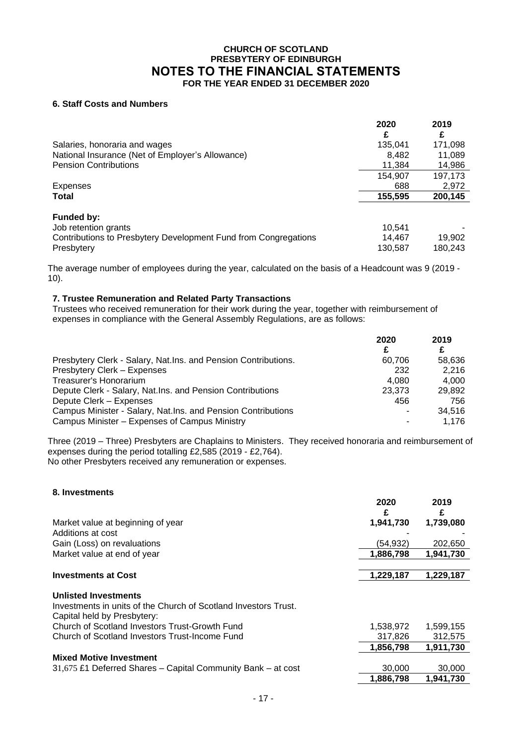## **6. Staff Costs and Numbers**

|                                                                                   | 2020<br>£        | 2019<br>£         |
|-----------------------------------------------------------------------------------|------------------|-------------------|
| Salaries, honoraria and wages<br>National Insurance (Net of Employer's Allowance) | 135.041<br>8,482 | 171,098<br>11,089 |
| <b>Pension Contributions</b>                                                      | 11,384           | 14,986            |
|                                                                                   | 154.907          | 197,173           |
| Expenses                                                                          | 688              | 2,972             |
| Total                                                                             | 155,595          | 200,145           |
| <b>Funded by:</b>                                                                 |                  |                   |
| Job retention grants                                                              | 10,541           |                   |
| Contributions to Presbytery Development Fund from Congregations                   | 14,467           | 19,902            |
| Presbytery                                                                        | 130,587          | 180,243           |

The average number of employees during the year, calculated on the basis of a Headcount was 9 (2019 - 10).

### **7. Trustee Remuneration and Related Party Transactions**

Trustees who received remuneration for their work during the year, together with reimbursement of expenses in compliance with the General Assembly Regulations, are as follows:

|                                                                | 2020   | 2019   |
|----------------------------------------------------------------|--------|--------|
|                                                                | £      | £      |
| Presbytery Clerk - Salary, Nat.Ins. and Pension Contributions. | 60.706 | 58.636 |
| Presbytery Clerk - Expenses                                    | 232    | 2.216  |
| Treasurer's Honorarium                                         | 4.080  | 4.000  |
| Depute Clerk - Salary, Nat. Ins. and Pension Contributions     | 23.373 | 29.892 |
| Depute Clerk - Expenses                                        | 456    | 756    |
| Campus Minister - Salary, Nat.Ins. and Pension Contributions   |        | 34.516 |
| Campus Minister - Expenses of Campus Ministry                  |        | 1.176  |

Three (2019 – Three) Presbyters are Chaplains to Ministers. They received honoraria and reimbursement of expenses during the period totalling £2,585 (2019 - £2,764). No other Presbyters received any remuneration or expenses.

| 8. Investments |  |
|----------------|--|

|                                                                 | 2020<br>£ | 2019<br>£ |
|-----------------------------------------------------------------|-----------|-----------|
| Market value at beginning of year                               | 1,941,730 | 1,739,080 |
| Additions at cost                                               |           |           |
| Gain (Loss) on revaluations                                     | (54, 932) | 202,650   |
| Market value at end of year                                     | 1,886,798 | 1,941,730 |
|                                                                 |           |           |
| <b>Investments at Cost</b>                                      | 1,229,187 | 1,229,187 |
|                                                                 |           |           |
| <b>Unlisted Investments</b>                                     |           |           |
| Investments in units of the Church of Scotland Investors Trust. |           |           |
| Capital held by Presbytery:                                     |           |           |
| Church of Scotland Investors Trust-Growth Fund                  | 1,538,972 | 1,599,155 |
| Church of Scotland Investors Trust-Income Fund                  | 317,826   | 312,575   |
|                                                                 | 1,856,798 | 1,911,730 |
| <b>Mixed Motive Investment</b>                                  |           |           |
| 31,675 £1 Deferred Shares - Capital Community Bank - at cost    | 30,000    | 30,000    |
|                                                                 | 1,886,798 | 1.941.730 |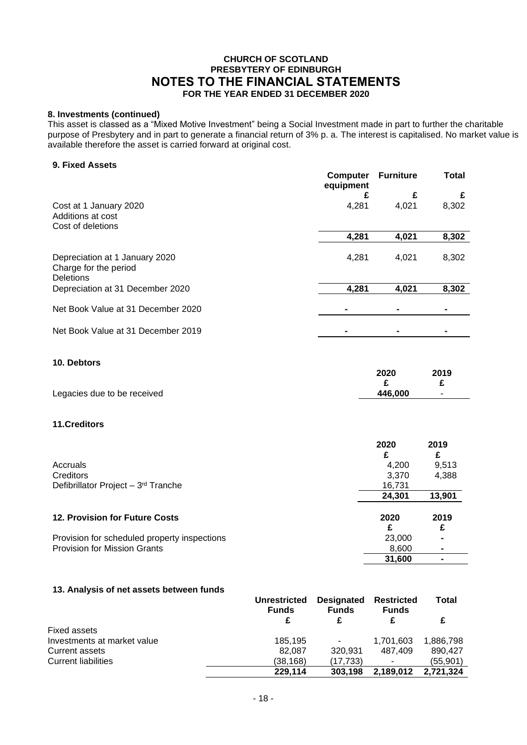## **8. Investments (continued)**

This asset is classed as a "Mixed Motive Investment" being a Social Investment made in part to further the charitable purpose of Presbytery and in part to generate a financial return of 3% p. a. The interest is capitalised. No market value is available therefore the asset is carried forward at original cost.

## **9. Fixed Assets**

|                                                                             | Computer<br>equipment | <b>Furniture</b> | Total |
|-----------------------------------------------------------------------------|-----------------------|------------------|-------|
|                                                                             | £                     | £                | £     |
| Cost at 1 January 2020<br>Additions at cost                                 | 4,281                 | 4.021            | 8,302 |
| Cost of deletions                                                           |                       |                  |       |
|                                                                             | 4,281                 | 4,021            | 8,302 |
| Depreciation at 1 January 2020<br>Charge for the period<br><b>Deletions</b> | 4,281                 | 4,021            | 8,302 |
| Depreciation at 31 December 2020                                            | 4,281                 | 4,021            | 8,302 |
| Net Book Value at 31 December 2020                                          |                       |                  |       |
| Net Book Value at 31 December 2019                                          |                       |                  |       |

## **10. Debtors**

|                             | 2020    | 2019   |
|-----------------------------|---------|--------|
|                             |         |        |
| Legacies due to be received | 446.000 | $\sim$ |

## **11.Creditors**

|                                                 | 2020   | 2019   |
|-------------------------------------------------|--------|--------|
|                                                 | £      |        |
| Accruals                                        | 4,200  | 9,513  |
| <b>Creditors</b>                                | 3,370  | 4,388  |
| Defibrillator Project - 3 <sup>rd</sup> Tranche | 16,731 |        |
|                                                 | 24.301 | 13,901 |
| 12. Provision for Future Costs                  | 2020   | 2019   |
|                                                 | £      | £      |
| Provision for scheduled property inspections    | 23,000 |        |
| <b>Provision for Mission Grants</b>             | 8,600  |        |
|                                                 | 31,600 |        |

### **13. Analysis of net assets between funds**

|                             | <b>Unrestricted</b><br><b>Funds</b> | <b>Designated</b><br><b>Funds</b> | <b>Restricted</b><br><b>Funds</b> | <b>Total</b> |
|-----------------------------|-------------------------------------|-----------------------------------|-----------------------------------|--------------|
|                             | £                                   |                                   |                                   | £            |
| Fixed assets                |                                     |                                   |                                   |              |
| Investments at market value | 185,195                             | $\sim$                            | 1.701.603                         | 1.886.798    |
| Current assets              | 82.087                              | 320.931                           | 487.409                           | 890.427      |
| <b>Current liabilities</b>  | (38,168)                            | (17.733)                          |                                   | (55,901)     |
|                             | 229.114                             | 303.198                           | 2,189,012                         | 2.721.324    |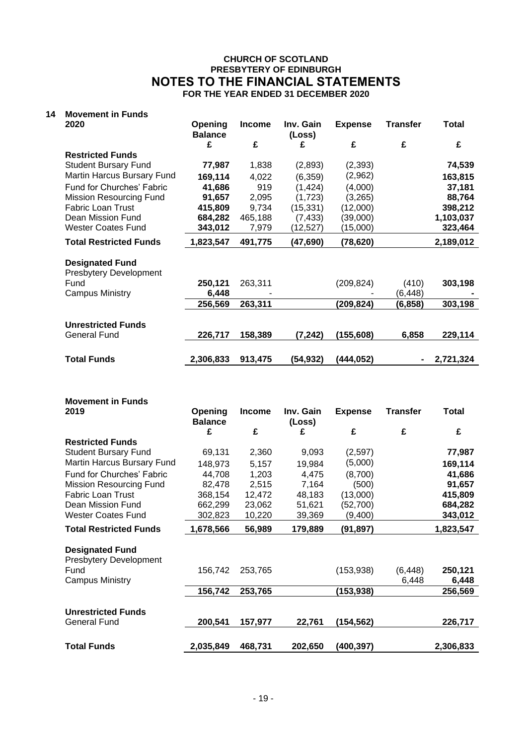## **14 Movement in Funds**

| 2020                           | Opening<br><b>Balance</b> | <b>Income</b> | Inv. Gain<br>(Loss) | <b>Expense</b> | Transfer          | Total     |
|--------------------------------|---------------------------|---------------|---------------------|----------------|-------------------|-----------|
|                                | £                         | £             | £                   | £              | £                 | £         |
| <b>Restricted Funds</b>        |                           |               |                     |                |                   |           |
| <b>Student Bursary Fund</b>    | 77,987                    | 1,838         | (2,893)             | (2, 393)       |                   | 74,539    |
| Martin Harcus Bursary Fund     | 169,114                   | 4,022         | (6, 359)            | (2,962)        |                   | 163,815   |
| Fund for Churches' Fabric      | 41,686                    | 919           | (1, 424)            | (4,000)        |                   | 37,181    |
| <b>Mission Resourcing Fund</b> | 91,657                    | 2,095         | (1,723)             | (3,265)        |                   | 88,764    |
| <b>Fabric Loan Trust</b>       | 415,809                   | 9,734         | (15, 331)           | (12,000)       |                   | 398,212   |
| Dean Mission Fund              | 684,282                   | 465,188       | (7, 433)            | (39,000)       |                   | 1,103,037 |
| <b>Wester Coates Fund</b>      | 343,012                   | 7,979         | (12,527)            | (15,000)       |                   | 323,464   |
| <b>Total Restricted Funds</b>  | 1,823,547                 | 491,775       | (47,690)            | (78, 620)      |                   | 2,189,012 |
| <b>Designated Fund</b>         |                           |               |                     |                |                   |           |
| <b>Presbytery Development</b>  |                           |               |                     |                |                   |           |
| Fund<br><b>Campus Ministry</b> | 250,121                   | 263,311       |                     | (209, 824)     | (410)<br>(6, 448) | 303,198   |
|                                | 6,448<br>256,569          | 263,311       |                     | (209,824)      | (6, 858)          | 303,198   |
|                                |                           |               |                     |                |                   |           |
| <b>Unrestricted Funds</b>      |                           |               |                     |                |                   |           |
| <b>General Fund</b>            | 226,717                   | 158,389       | (7,242)             | (155, 608)     | 6,858             | 229,114   |
|                                |                           |               |                     |                |                   |           |
| <b>Total Funds</b>             | 2,306,833                 | 913,475       | (54,932)            | (444,052)      |                   | 2,721,324 |
|                                |                           |               |                     |                |                   |           |

| <b>Movement in Funds</b>       |                           |               |                     |                |                   |                  |
|--------------------------------|---------------------------|---------------|---------------------|----------------|-------------------|------------------|
| 2019                           | Opening<br><b>Balance</b> | <b>Income</b> | Inv. Gain<br>(Loss) | <b>Expense</b> | <b>Transfer</b>   | <b>Total</b>     |
|                                | £                         | £             | £                   | £              | £                 | £                |
| <b>Restricted Funds</b>        |                           |               |                     |                |                   |                  |
| <b>Student Bursary Fund</b>    | 69,131                    | 2,360         | 9,093               | (2,597)        |                   | 77,987           |
| Martin Harcus Bursary Fund     | 148,973                   | 5,157         | 19,984              | (5,000)        |                   | 169,114          |
| Fund for Churches' Fabric      | 44,708                    | 1,203         | 4,475               | (8,700)        |                   | 41,686           |
| <b>Mission Resourcing Fund</b> | 82,478                    | 2,515         | 7,164               | (500)          |                   | 91,657           |
| <b>Fabric Loan Trust</b>       | 368,154                   | 12,472        | 48,183              | (13,000)       |                   | 415,809          |
| Dean Mission Fund              | 662,299                   | 23,062        | 51,621              | (52, 700)      |                   | 684,282          |
| Wester Coates Fund             | 302,823                   | 10,220        | 39,369              | (9,400)        |                   | 343,012          |
| <b>Total Restricted Funds</b>  | 1,678,566                 | 56,989        | 179,889             | (91, 897)      |                   | 1,823,547        |
|                                |                           |               |                     |                |                   |                  |
|                                |                           |               |                     |                |                   |                  |
| <b>Designated Fund</b>         |                           |               |                     |                |                   |                  |
| <b>Presbytery Development</b>  |                           |               |                     |                |                   |                  |
| Fund<br><b>Campus Ministry</b> | 156,742                   | 253,765       |                     | (153, 938)     | (6, 448)<br>6,448 | 250,121<br>6,448 |
|                                | 156,742                   | 253,765       |                     | (153, 938)     |                   | 256,569          |
|                                |                           |               |                     |                |                   |                  |
| <b>Unrestricted Funds</b>      |                           |               |                     |                |                   |                  |
| <b>General Fund</b>            | 200,541                   | 157,977       | 22,761              | (154,562)      |                   | 226,717          |
|                                |                           |               |                     |                |                   |                  |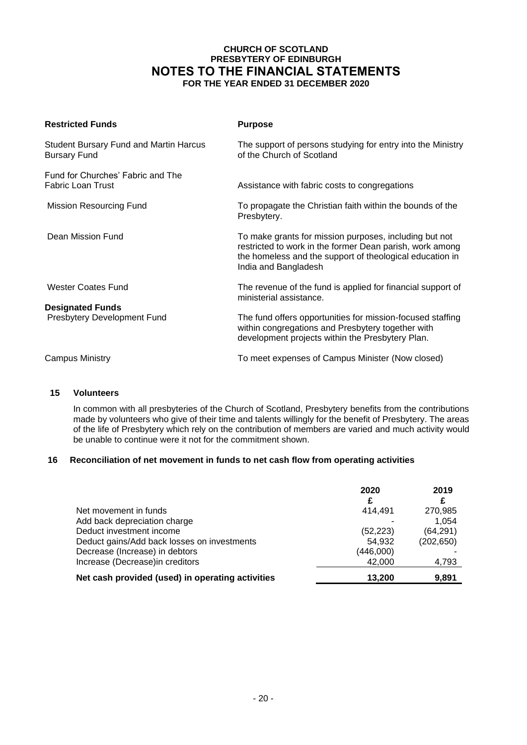| <b>Restricted Funds</b>                                              | <b>Purpose</b>                                                                                                                                                                                         |
|----------------------------------------------------------------------|--------------------------------------------------------------------------------------------------------------------------------------------------------------------------------------------------------|
| <b>Student Bursary Fund and Martin Harcus</b><br><b>Bursary Fund</b> | The support of persons studying for entry into the Ministry<br>of the Church of Scotland                                                                                                               |
| Fund for Churches' Fabric and The<br><b>Fabric Loan Trust</b>        | Assistance with fabric costs to congregations                                                                                                                                                          |
| <b>Mission Resourcing Fund</b>                                       | To propagate the Christian faith within the bounds of the<br>Presbytery.                                                                                                                               |
| Dean Mission Fund                                                    | To make grants for mission purposes, including but not<br>restricted to work in the former Dean parish, work among<br>the homeless and the support of theological education in<br>India and Bangladesh |
| <b>Wester Coates Fund</b>                                            | The revenue of the fund is applied for financial support of<br>ministerial assistance.                                                                                                                 |
| <b>Designated Funds</b><br>Presbytery Development Fund               | The fund offers opportunities for mission-focused staffing<br>within congregations and Presbytery together with<br>development projects within the Presbytery Plan.                                    |
| <b>Campus Ministry</b>                                               | To meet expenses of Campus Minister (Now closed)                                                                                                                                                       |

## **15 Volunteers**

In common with all presbyteries of the Church of Scotland, Presbytery benefits from the contributions made by volunteers who give of their time and talents willingly for the benefit of Presbytery. The areas of the life of Presbytery which rely on the contribution of members are varied and much activity would be unable to continue were it not for the commitment shown.

## **16 Reconciliation of net movement in funds to net cash flow from operating activities**

|                                                  | 2020      | 2019       |
|--------------------------------------------------|-----------|------------|
| Net movement in funds                            | 414.491   | 270,985    |
| Add back depreciation charge                     |           | 1,054      |
| Deduct investment income                         | (52, 223) | (64, 291)  |
| Deduct gains/Add back losses on investments      | 54.932    | (202, 650) |
| Decrease (Increase) in debtors                   | (446,000) |            |
| Increase (Decrease) in creditors                 | 42,000    | 4,793      |
| Net cash provided (used) in operating activities | 13,200    | 9,891      |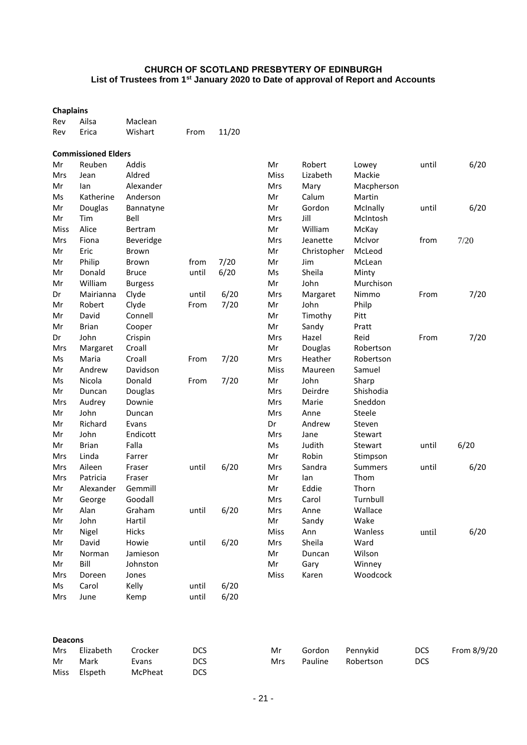| <b>Chaplains</b> |                            |                  |       |       |      |             |                |       |      |
|------------------|----------------------------|------------------|-------|-------|------|-------------|----------------|-------|------|
| Rev              | Ailsa                      | Maclean          |       |       |      |             |                |       |      |
| Rev              | Erica                      | Wishart          | From  | 11/20 |      |             |                |       |      |
|                  | <b>Commissioned Elders</b> |                  |       |       |      |             |                |       |      |
| Mr               | Reuben                     | Addis            |       |       | Mr   | Robert      | Lowey          | until | 6/20 |
| Mrs              | Jean                       | Aldred           |       |       | Miss | Lizabeth    | Mackie         |       |      |
| Mr               | lan                        | Alexander        |       |       | Mrs  | Mary        | Macpherson     |       |      |
| Ms               | Katherine                  | Anderson         |       |       | Mr   | Calum       | Martin         |       |      |
| Mr               | Douglas                    | Bannatyne        |       |       | Mr   | Gordon      | McInally       | until | 6/20 |
| Mr               | Tim                        | Bell             |       |       | Mrs  | Jill        | McIntosh       |       |      |
| Miss             | Alice                      | Bertram          |       |       | Mr   | William     | McKay          |       |      |
| Mrs              | Fiona                      | <b>Beveridge</b> |       |       | Mrs  | Jeanette    | McIvor         | from  | 7/20 |
| Mr               | Eric                       | Brown            |       |       | Mr   | Christopher | McLeod         |       |      |
| Mr               | Philip                     | <b>Brown</b>     | from  | 7/20  | Mr   | Jim         | McLean         |       |      |
| Mr               | Donald                     | <b>Bruce</b>     | until | 6/20  | Ms   | Sheila      | Minty          |       |      |
| Mr               | William                    | <b>Burgess</b>   |       |       | Mr   | John        | Murchison      |       |      |
| Dr               | Mairianna                  | Clyde            | until | 6/20  | Mrs  | Margaret    | Nimmo          | From  | 7/20 |
| Mr               | Robert                     | Clyde            | From  | 7/20  | Mr   | John        | Philp          |       |      |
| Mr               | David                      | Connell          |       |       | Mr   | Timothy     | Pitt           |       |      |
| Mr               | <b>Brian</b>               | Cooper           |       |       | Mr   | Sandy       | Pratt          |       |      |
| Dr               | John                       | Crispin          |       |       | Mrs  | Hazel       | Reid           | From  | 7/20 |
| Mrs              | Margaret                   | Croall           |       |       | Mr   | Douglas     | Robertson      |       |      |
| Ms               | Maria                      | Croall           | From  | 7/20  | Mrs  | Heather     | Robertson      |       |      |
| Mr               | Andrew                     | Davidson         |       |       | Miss | Maureen     | Samuel         |       |      |
| Ms               | Nicola                     | Donald           | From  | 7/20  | Mr   | John        | Sharp          |       |      |
| Mr               | Duncan                     | Douglas          |       |       | Mrs  | Deirdre     | Shishodia      |       |      |
| Mrs              | Audrey                     | Downie           |       |       | Mrs  | Marie       | Sneddon        |       |      |
| Mr               | John                       | Duncan           |       |       | Mrs  | Anne        | Steele         |       |      |
| Mr               | Richard                    | Evans            |       |       | Dr   | Andrew      | Steven         |       |      |
| Mr               | John                       | Endicott         |       |       | Mrs  | Jane        | Stewart        |       |      |
| Mr               | <b>Brian</b>               | Falla            |       |       | Ms   | Judith      | Stewart        | until | 6/20 |
| Mrs              | Linda                      | Farrer           |       |       | Mr   | Robin       | Stimpson       |       |      |
| Mrs              | Aileen                     | Fraser           | until | 6/20  | Mrs  | Sandra      | <b>Summers</b> | until | 6/20 |
| Mrs              | Patricia                   | Fraser           |       |       | Mr   | lan         | Thom           |       |      |
| Mr               | Alexander                  | Gemmill          |       |       | Mr   | Eddie       | Thorn          |       |      |
| Mr               | George                     | Goodall          |       |       | Mrs  | Carol       | Turnbull       |       |      |
| Mr               | Alan                       | Graham           | until | 6/20  | Mrs  | Anne        | Wallace        |       |      |
| Mr               | John                       | Hartil           |       |       | Mr   | Sandy       | Wake           |       |      |
| Mr               | Nigel                      | Hicks            |       |       | Miss | Ann         | Wanless        | until | 6/20 |
| Mr               | David                      | Howie            | until | 6/20  | Mrs  | Sheila      | Ward           |       |      |
| Mr               | Norman                     | Jamieson         |       |       | Mr   | Duncan      | Wilson         |       |      |
| Mr               | Bill                       | Johnston         |       |       | Mr   | Gary        | Winney         |       |      |
| Mrs              | Doreen                     | Jones            |       |       | Miss | Karen       | Woodcock       |       |      |
| Ms               | Carol                      | Kelly            | until | 6/20  |      |             |                |       |      |
| Mrs              | June                       | Kemp             | until | 6/20  |      |             |                |       |      |
|                  |                            |                  |       |       |      |             |                |       |      |

| <b>Deacons</b> |           |         |            |            |         |           |     |             |  |
|----------------|-----------|---------|------------|------------|---------|-----------|-----|-------------|--|
| Mrs            | Elizabeth | Crocker | <b>DCS</b> | Mr         | Gordon  | Pennykid  | DCS | From 8/9/20 |  |
| Mr             | Mark      | Evans   | <b>DCS</b> | <b>Mrs</b> | Pauline | Robertson | DCS |             |  |
| Miss           | Elspeth   | McPheat | <b>DCS</b> |            |         |           |     |             |  |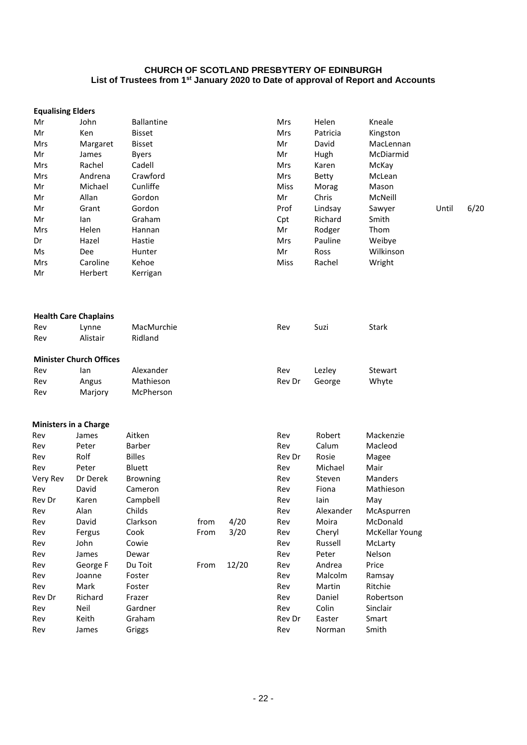| <b>Equalising Elders</b> |                                |                   |      |       |        |              |                |       |      |
|--------------------------|--------------------------------|-------------------|------|-------|--------|--------------|----------------|-------|------|
| Mr                       | John                           | <b>Ballantine</b> |      |       | Mrs    | Helen        | Kneale         |       |      |
| Mr                       | Ken                            | <b>Bisset</b>     |      |       | Mrs    | Patricia     | Kingston       |       |      |
| Mrs                      | Margaret                       | <b>Bisset</b>     |      |       | Mr     | David        | MacLennan      |       |      |
| Mr                       | James                          | <b>Byers</b>      |      |       | Mr     | Hugh         | McDiarmid      |       |      |
| Mrs                      | Rachel                         | Cadell            |      |       | Mrs    | Karen        | McKay          |       |      |
| Mrs                      | Andrena                        | Crawford          |      |       | Mrs    | <b>Betty</b> | McLean         |       |      |
| Mr                       | Michael                        | Cunliffe          |      |       | Miss   | Morag        | Mason          |       |      |
| Mr                       | Allan                          | Gordon            |      |       | Mr     | Chris        | McNeill        |       |      |
| Mr                       | Grant                          | Gordon            |      |       | Prof   | Lindsay      | Sawyer         | Until | 6/20 |
| Mr                       | lan                            | Graham            |      |       | Cpt    | Richard      | Smith          |       |      |
| Mrs                      | Helen                          | Hannan            |      |       | Mr     | Rodger       | Thom           |       |      |
| Dr                       | Hazel                          | Hastie            |      |       | Mrs    | Pauline      | Weibye         |       |      |
| Ms                       | Dee                            | Hunter            |      |       | Mr     | Ross         | Wilkinson      |       |      |
| Mrs                      | Caroline                       | Kehoe             |      |       | Miss   | Rachel       | Wright         |       |      |
| Mr                       | Herbert                        | Kerrigan          |      |       |        |              |                |       |      |
|                          | <b>Health Care Chaplains</b>   |                   |      |       |        |              |                |       |      |
| Rev                      | Lynne                          | MacMurchie        |      |       | Rev    | Suzi         | <b>Stark</b>   |       |      |
| Rev                      | Alistair                       | Ridland           |      |       |        |              |                |       |      |
|                          | <b>Minister Church Offices</b> |                   |      |       |        |              |                |       |      |
| Rev                      | lan                            | Alexander         |      |       | Rev    | Lezley       | Stewart        |       |      |
| Rev                      | Angus                          | Mathieson         |      |       | Rev Dr | George       | Whyte          |       |      |
| Rev                      | Marjory                        | McPherson         |      |       |        |              |                |       |      |
|                          | <b>Ministers in a Charge</b>   |                   |      |       |        |              |                |       |      |
| Rev                      | James                          | Aitken            |      |       | Rev    | Robert       | Mackenzie      |       |      |
| Rev                      | Peter                          | Barber            |      |       | Rev    | Calum        | Macleod        |       |      |
| Rev                      | Rolf                           | <b>Billes</b>     |      |       | Rev Dr | Rosie        | Magee          |       |      |
| Rev                      | Peter                          | Bluett            |      |       | Rev    | Michael      | Mair           |       |      |
| Very Rev                 | Dr Derek                       | <b>Browning</b>   |      |       | Rev    | Steven       | Manders        |       |      |
| Rev                      | David                          | Cameron           |      |       | Rev    | Fiona        | Mathieson      |       |      |
| Rev Dr                   | Karen                          | Campbell          |      |       | Rev    | lain         | May            |       |      |
| Rev                      | Alan                           | Childs            |      |       | Rev    | Alexander    | McAspurren     |       |      |
| Rev                      | David                          | Clarkson          | from | 4/20  | Rev    | Moira        | McDonald       |       |      |
| Rev                      | Fergus                         | Cook              | From | 3/20  | Rev    | Cheryl       | McKellar Young |       |      |
| Rev                      | John                           | Cowie             |      |       | Rev    | Russell      | McLarty        |       |      |
| Rev                      | James                          | Dewar             |      |       | Rev    | Peter        | Nelson         |       |      |
| Rev                      | George F                       | Du Toit           | From | 12/20 | Rev    | Andrea       | Price          |       |      |
| Rev                      | Joanne                         | Foster            |      |       | Rev    | Malcolm      | Ramsay         |       |      |
| Rev                      | Mark                           | Foster            |      |       | Rev    | Martin       | Ritchie        |       |      |
| Rev Dr                   | Richard                        | Frazer            |      |       | Rev    | Daniel       | Robertson      |       |      |
| Rev                      | Neil                           | Gardner           |      |       | Rev    | Colin        | Sinclair       |       |      |
| Rev                      | Keith                          | Graham            |      |       | Rev Dr | Easter       | Smart          |       |      |
| Rev                      | James                          | Griggs            |      |       | Rev    | Norman       | Smith          |       |      |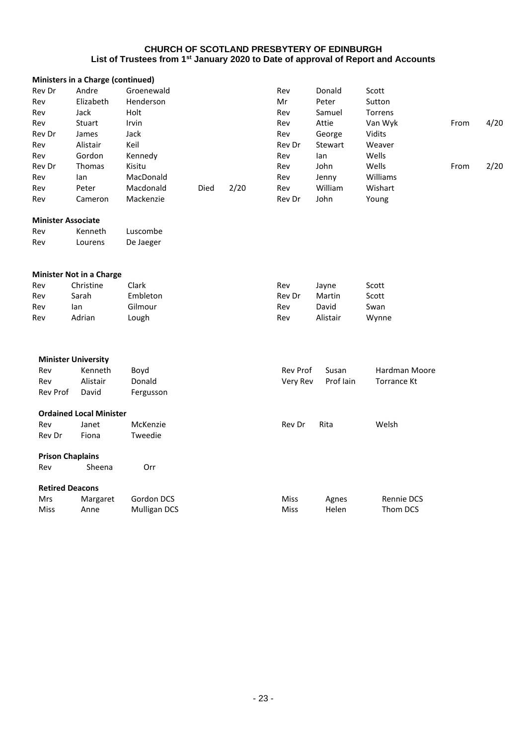|          | Ministers in a Charge (continued) |                     |      |      |          |           |                    |      |      |
|----------|-----------------------------------|---------------------|------|------|----------|-----------|--------------------|------|------|
| Rev Dr   | Andre                             | Groenewald          |      |      | Rev      | Donald    | Scott              |      |      |
| Rev      | Elizabeth                         | Henderson           |      |      | Mr       | Peter     | Sutton             |      |      |
| Rev      | Jack                              | Holt                |      |      | Rev      | Samuel    | Torrens            |      |      |
| Rev      | Stuart                            | Irvin               |      |      | Rev      | Attie     | Van Wyk            | From | 4/20 |
| Rev Dr   | James                             | Jack                |      |      | Rev      | George    | Vidits             |      |      |
| Rev      | Alistair                          | Keil                |      |      | Rev Dr   | Stewart   | Weaver             |      |      |
| Rev      | Gordon                            | Kennedy             |      |      | Rev      | lan       | Wells              |      |      |
| Rev Dr   | Thomas                            | Kisitu              |      |      | Rev      | John      | Wells              | From | 2/20 |
| Rev      | lan                               | MacDonald           |      |      | Rev      | Jenny     | Williams           |      |      |
| Rev      | Peter                             | Macdonald           | Died | 2/20 | Rev      | William   | Wishart            |      |      |
| Rev      | Cameron                           | Mackenzie           |      |      | Rev Dr   | John      | Young              |      |      |
|          | <b>Minister Associate</b>         |                     |      |      |          |           |                    |      |      |
| Rev      | Kenneth                           | Luscombe            |      |      |          |           |                    |      |      |
| Rev      | Lourens                           | De Jaeger           |      |      |          |           |                    |      |      |
|          | <b>Minister Not in a Charge</b>   |                     |      |      |          |           |                    |      |      |
| Rev      | Christine                         | Clark               |      |      | Rev      | Jayne     | Scott              |      |      |
| Rev      | Sarah                             | Embleton            |      |      | Rev Dr   | Martin    | Scott              |      |      |
| Rev      | lan                               | Gilmour             |      |      | Rev      | David     | Swan               |      |      |
| Rev      | Adrian                            | Lough               |      |      | Rev      | Alistair  | Wynne              |      |      |
|          |                                   |                     |      |      |          |           |                    |      |      |
|          | <b>Minister University</b>        |                     |      |      |          |           |                    |      |      |
| Rev      | Kenneth                           | Boyd                |      |      | Rev Prof | Susan     | Hardman Moore      |      |      |
| Rev      | Alistair                          | Donald              |      |      | Very Rev | Prof lain | <b>Torrance Kt</b> |      |      |
| Rev Prof | David                             | Fergusson           |      |      |          |           |                    |      |      |
|          | <b>Ordained Local Minister</b>    |                     |      |      |          |           |                    |      |      |
| Rev      | Janet                             | McKenzie            |      |      | Rev Dr   | Rita      | Welsh              |      |      |
| Rev Dr   | Fiona                             | Tweedie             |      |      |          |           |                    |      |      |
|          | <b>Prison Chaplains</b>           |                     |      |      |          |           |                    |      |      |
| Rev      | Sheena                            | Orr                 |      |      |          |           |                    |      |      |
|          | <b>Retired Deacons</b>            |                     |      |      |          |           |                    |      |      |
| Mrs      | Margaret                          | Gordon DCS          |      |      | Miss     | Agnes     | <b>Rennie DCS</b>  |      |      |
| Miss     | Anne                              | <b>Mulligan DCS</b> |      |      | Miss     | Helen     | Thom DCS           |      |      |